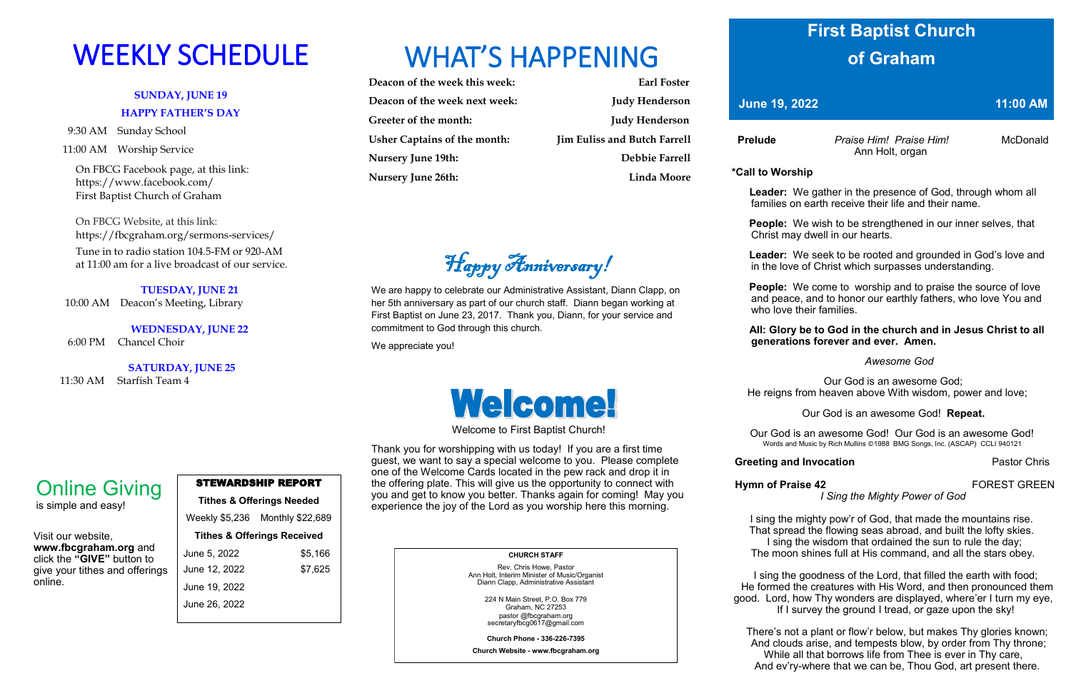### **SUNDAY, JUNE 19 HAPPY FATHER'S DAY**

9:30 AM Sunday School

11:00 AM Worship Service

 On FBCG Facebook page, at this link: [https://www.facebook.com/](https://www.facebook.com/First%20Baptist%20Church%20of%20Graham)  [First Baptist Church of Graham](https://www.facebook.com/First%20Baptist%20Church%20of%20Graham)

 On FBCG Website, at this link: <https://fbcgraham.org/sermons-services/>

 Tune in to radio station 104.5-FM or 920-AM at 11:00 am for a live broadcast of our service.

#### **TUESDAY, JUNE 21**

10:00 AM Deacon's Meeting, Library

**WEDNESDAY, JUNE 22**

6:00 PM Chancel Choir

**SATURDAY, JUNE 25**

11:30 AM Starfish Team 4

# WEEKLY SCHEDULE WHAT'S HAPPENING



| Deacon of the week this week:       | <b>Earl Foster</b>                  |
|-------------------------------------|-------------------------------------|
| Deacon of the week next week:       | <b>Judy Henderson</b>               |
| Greeter of the month:               | <b>Judy Henderson</b>               |
| <b>Usher Captains of the month:</b> | <b>Jim Euliss and Butch Farrell</b> |
| <b>Nursery June 19th:</b>           | Debbie Farrell                      |
| <b>Nursery June 26th:</b>           | <b>Linda Moore</b>                  |

| <b>STEWARDSHIP REPORT</b> |
|---------------------------|
|---------------------------|

#### **Tithes & Offerings Needed**

Weekly \$5,236 Monthly \$22,689 **Tithes & Offerings Received** June 5, 2022 \$5,166 June 12, 2022 \$7,625 June 19, 2022 June 26, 2022

Visit our website, **www.fbcgraham.org** and click the **"GIVE"** button to give your tithes and offerings online.

## Online Giving

is simple and easy!

#### **CHURCH STAFF**

Rev. Chris Howe, Pastor Ann Holt, Interim Minister of Music/Organist Diann Clapp, Administrative Assistant

> 224 N Main Street, P.O. Box 779 Graham, NC 27253 pastor @fbcgraham.org secretaryfbcg0617@gmail.com

**Church Phone - 336-226-7395 Church Website - www.fbcgraham.org** Ann Holt, organ

**\*Call to Worship** 

 **Leader:** We gather in the presence of God, through whom all families on earth receive their life and their name.

**People:** We wish to be strengthened in our inner selves, that Christ may dwell in our hearts.

We come! Welcome to First Baptist Church! Thank you for worshipping with us today! If you are a first time **Leader:** We seek to be rooted and grounded in God's love and in the love of Christ which surpasses understanding.

**People:** We come to worship and to praise the source of love and peace, and to honor our earthly fathers, who love You and who love their families.

#### **All: Glory be to God in the church and in Jesus Christ to all generations forever and ever. Amen.**

#### *Awesome God*

Our God is an awesome God; He reigns from heaven above With wisdom, power and love;

**Hymn of Praise 42 FOREST GREEN** 

#### Our God is an awesome God! **Repeat.**

Our God is an awesome God! Our God is an awesome God! Words and Music by Rich Mullins ©1988 BMG Songs, Inc. (ASCAP) CCLI 940121

#### **Greeting and Invocation Pastor Chris**

### *I Sing the Mighty Power of God*

I sing the mighty pow'r of God, that made the mountains rise. That spread the flowing seas abroad, and built the lofty skies. I sing the wisdom that ordained the sun to rule the day; The moon shines full at His command, and all the stars obey.

I sing the goodness of the Lord, that filled the earth with food; He formed the creatures with His Word, and then pronounced them good. Lord, how Thy wonders are displayed, where'er I turn my eye, If I survey the ground I tread, or gaze upon the sky!

There's not a plant or flow'r below, but makes Thy glories known; And clouds arise, and tempests blow, by order from Thy throne; While all that borrows life from Thee is ever in Thy care, And ev'ry-where that we can be, Thou God, art present there.

guest, we want to say a special welcome to you. Please complete one of the Welcome Cards located in the pew rack and drop it in the offering plate. This will give us the opportunity to connect with you and get to know you better. Thanks again for coming! May you experience the joy of the Lord as you worship here this morning.

## **First Baptist Church of Graham**

**11:00 AM 19, 2022** 11:00 AM

**Prelude** *Praise Him! Praise Him!* McDonald

We are happy to celebrate our Administrative Assistant, Diann Clapp, on her 5th anniversary as part of our church staff. Diann began working at First Baptist on June 23, 2017. Thank you, Diann, for your service and

commitment to God through this church.

We appreciate you!

Happy Anniversary!